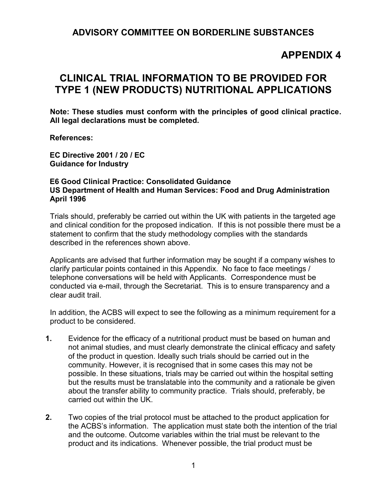## **ADVISORY COMMITTEE ON BORDERLINE SUBSTANCES**

## **APPENDIX 4**

## **CLINICAL TRIAL INFORMATION TO BE PROVIDED FOR TYPE 1 (NEW PRODUCTS) NUTRITIONAL APPLICATIONS**

**Note: These studies must conform with the principles of good clinical practice. All legal declarations must be completed.** 

 **References:** 

 **EC Directive 2001 / 20 / EC Guidance for Industry** 

## **E6 Good Clinical Practice: Consolidated Guidance US Department of Health and Human Services: Food and Drug Administration April 1996**

Trials should, preferably be carried out within the UK with patients in the targeted age and clinical condition for the proposed indication. If this is not possible there must be a statement to confirm that the study methodology complies with the standards described in the references shown above.

Applicants are advised that further information may be sought if a company wishes to clarify particular points contained in this Appendix. No face to face meetings / telephone conversations will be held with Applicants. Correspondence must be conducted via e-mail, through the Secretariat. This is to ensure transparency and a clear audit trail.

In addition, the ACBS will expect to see the following as a minimum requirement for a product to be considered.

- **1.** Evidence for the efficacy of a nutritional product must be based on human and not animal studies, and must clearly demonstrate the clinical efficacy and safety of the product in question. Ideally such trials should be carried out in the community. However, it is recognised that in some cases this may not be possible. In these situations, trials may be carried out within the hospital setting but the results must be translatable into the community and a rationale be given about the transfer ability to community practice. Trials should, preferably, be carried out within the UK.
- **2.** Two copies of the trial protocol must be attached to the product application for the ACBS's information. The application must state both the intention of the trial and the outcome. Outcome variables within the trial must be relevant to the product and its indications. Whenever possible, the trial product must be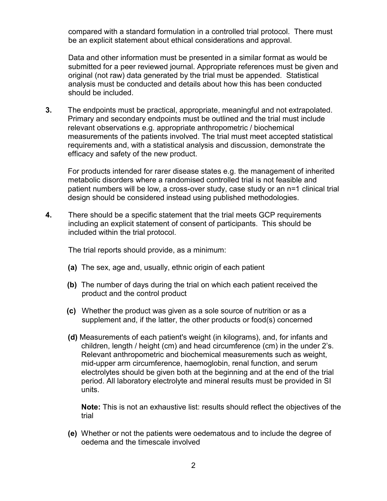compared with a standard formulation in a controlled trial protocol. There must be an explicit statement about ethical considerations and approval.

 Data and other information must be presented in a similar format as would be submitted for a peer reviewed journal. Appropriate references must be given and original (not raw) data generated by the trial must be appended. Statistical analysis must be conducted and details about how this has been conducted should be included.

**3.** The endpoints must be practical, appropriate, meaningful and not extrapolated. Primary and secondary endpoints must be outlined and the trial must include relevant observations e.g. appropriate anthropometric / biochemical measurements of the patients involved. The trial must meet accepted statistical requirements and, with a statistical analysis and discussion, demonstrate the efficacy and safety of the new product.

 For products intended for rarer disease states e.g. the management of inherited metabolic disorders where a randomised controlled trial is not feasible and patient numbers will be low, a cross-over study, case study or an n=1 clinical trial design should be considered instead using published methodologies.

**4.** There should be a specific statement that the trial meets GCP requirements including an explicit statement of consent of participants. This should be included within the trial protocol.

The trial reports should provide, as a minimum:

- **(a)** The sex, age and, usually, ethnic origin of each patient
- **(b)** The number of days during the trial on which each patient received the product and the control product
- **(c)** Whether the product was given as a sole source of nutrition or as a supplement and, if the latter, the other products or food(s) concerned
- **(d)** Measurements of each patient's weight (in kilograms), and, for infants and children, length / height (cm) and head circumference (cm) in the under 2's. Relevant anthropometric and biochemical measurements such as weight, mid-upper arm circumference, haemoglobin, renal function, and serum electrolytes should be given both at the beginning and at the end of the trial period. All laboratory electrolyte and mineral results must be provided in SI units.

**Note:** This is not an exhaustive list: results should reflect the objectives of the trial

**(e)** Whether or not the patients were oedematous and to include the degree of oedema and the timescale involved